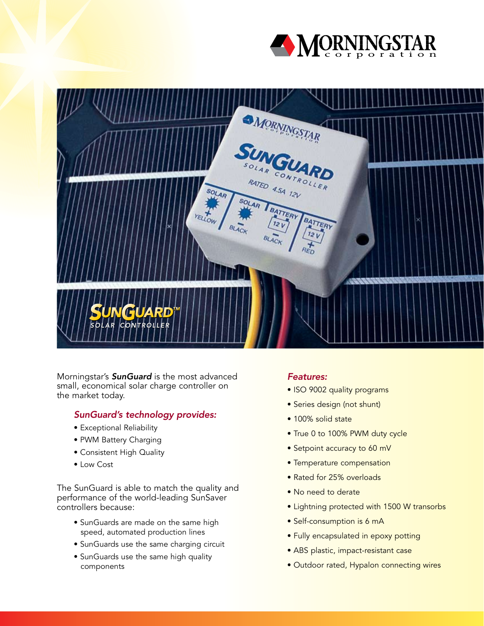



Morningstar's **SunGuard** is the most advanced small, economical solar charge controller on the market today.

# SunGuard's technology provides:

- Exceptional Reliability
- PWM Battery Charging
- Consistent High Quality
- Low Cost

The SunGuard is able to match the quality and performance of the world-leading SunSaver controllers because:

- SunGuards are made on the same high speed, automated production lines
- SunGuards use the same charging circuit
- SunGuards use the same high quality components

# Features:

- ISO 9002 quality programs
- Series design (not shunt)
- 100% solid state
- True 0 to 100% PWM duty cycle
- Setpoint accuracy to 60 mV
- Temperature compensation
- Rated for 25% overloads
- No need to derate
- Lightning protected with 1500 W transorbs
- Self-consumption is 6 mA
- Fully encapsulated in epoxy potting
- ABS plastic, impact-resistant case
- Outdoor rated, Hypalon connecting wires